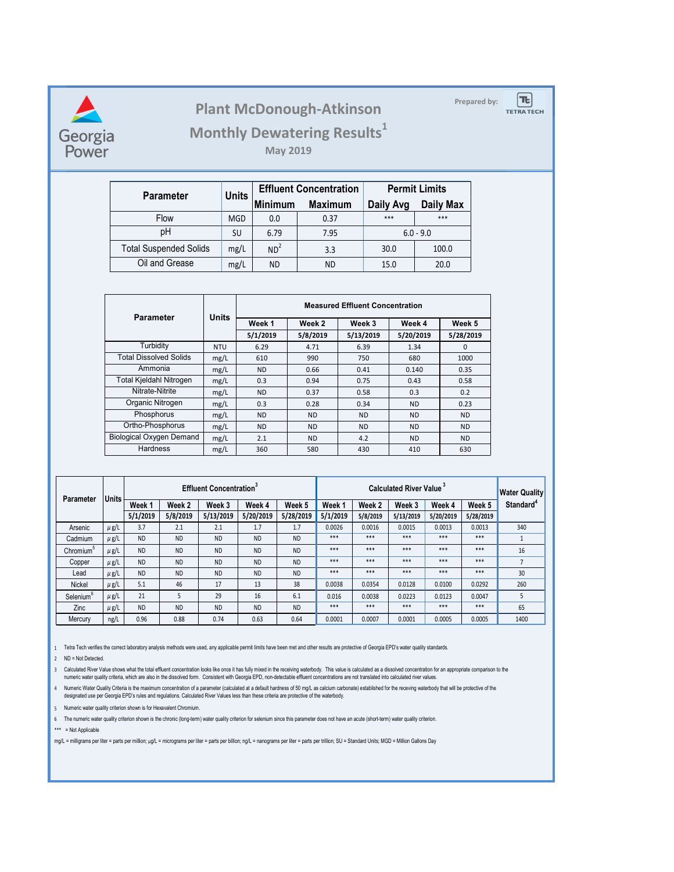

## **Prepared by: Plant McDonough-Atkinson**

**TETRA TECH** 

 $|\mathbf{t}|$ 

**Monthly Dewatering Results<sup>1</sup>**

**May 2019**

| <b>Parameter</b>              | <b>Units</b> |                 | <b>Effluent Concentration</b> | <b>Permit Limits</b> |           |  |
|-------------------------------|--------------|-----------------|-------------------------------|----------------------|-----------|--|
|                               |              | <b>Minimum</b>  | <b>Maximum</b>                | Daily Avg            | Daily Max |  |
| Flow                          | <b>MGD</b>   | 0.0             | 0.37                          | $***$                | ***       |  |
| pH                            | SU           | 6.79            | 7.95                          | $6.0 - 9.0$          |           |  |
| <b>Total Suspended Solids</b> | mg/L         | ND <sup>2</sup> | 3.3                           | 30.0                 | 100.0     |  |
| Oil and Grease                | mg/L         | ND              | <b>ND</b>                     | 15.0                 | 20.0      |  |

| <b>Parameter</b>                | Units      | <b>Measured Effluent Concentration</b> |           |           |           |             |  |  |  |
|---------------------------------|------------|----------------------------------------|-----------|-----------|-----------|-------------|--|--|--|
|                                 |            | Week 1                                 | Week 2    | Week 3    | Week 4    | Week 5      |  |  |  |
|                                 |            | 5/1/2019                               | 5/8/2019  | 5/13/2019 | 5/20/2019 | 5/28/2019   |  |  |  |
| Turbidity                       | <b>NTU</b> | 6.29                                   | 4.71      | 6.39      | 1.34      | $\mathbf 0$ |  |  |  |
| <b>Total Dissolved Solids</b>   | mg/L       | 610                                    | 990       | 750       | 680       | 1000        |  |  |  |
| Ammonia                         | mg/L       | <b>ND</b>                              | 0.66      | 0.41      | 0.140     | 0.35        |  |  |  |
| Total Kjeldahl Nitrogen         | mg/L       | 0.3                                    | 0.94      | 0.75      | 0.43      | 0.58        |  |  |  |
| Nitrate-Nitrite                 | mg/L       | <b>ND</b>                              | 0.37      | 0.58      | 0.3       | 0.2         |  |  |  |
| Organic Nitrogen                | mg/L       | 0.3                                    | 0.28      | 0.34      | <b>ND</b> | 0.23        |  |  |  |
| Phosphorus                      | mg/L       | <b>ND</b>                              | <b>ND</b> | <b>ND</b> | <b>ND</b> | <b>ND</b>   |  |  |  |
| Ortho-Phosphorus                | mg/L       | <b>ND</b>                              | <b>ND</b> | <b>ND</b> | <b>ND</b> | <b>ND</b>   |  |  |  |
| <b>Biological Oxygen Demand</b> | mg/L       | 2.1                                    | <b>ND</b> | 4.2       | <b>ND</b> | <b>ND</b>   |  |  |  |
| Hardness                        | mg/L       | 360                                    | 580       | 430       | 410       | 630         |  |  |  |

| Parameter             | <b>Units</b> | <b>Effluent Concentration</b> <sup>3</sup> |           |           |           |           |          | <b>Calculated River Value</b> <sup>3</sup> |           |           |           | <b>Water Quality</b>  |
|-----------------------|--------------|--------------------------------------------|-----------|-----------|-----------|-----------|----------|--------------------------------------------|-----------|-----------|-----------|-----------------------|
|                       |              | Week 1                                     | Week 2    | Week 3    | Week 4    | Week 5    | Week 1   | Week 2                                     | Week 3    | Week 4    | Week 5    | Standard <sup>4</sup> |
|                       |              | 5/1/2019                                   | 5/8/2019  | 5/13/2019 | 5/20/2019 | 5/28/2019 | 5/1/2019 | 5/8/2019                                   | 5/13/2019 | 5/20/2019 | 5/28/2019 |                       |
| Arsenic               | $\mu$ g/L    | 3.7                                        | 2.1       | 2.1       | 1.7       | 1.7       | 0.0026   | 0.0016                                     | 0.0015    | 0.0013    | 0.0013    | 340                   |
| Cadmium               | $\mu$ g/L    | <b>ND</b>                                  | <b>ND</b> | <b>ND</b> | <b>ND</b> | <b>ND</b> | ***      | ***                                        | ***       | ***       | ***       |                       |
| Chromium <sup>5</sup> | $\mu$ g/L    | <b>ND</b>                                  | <b>ND</b> | <b>ND</b> | <b>ND</b> | <b>ND</b> | ***      | ***                                        | ***       | ***       | ***       | 16                    |
| Copper                | $\mu$ g/L    | <b>ND</b>                                  | <b>ND</b> | <b>ND</b> | <b>ND</b> | <b>ND</b> | ***      | ***                                        | ***       | ***       | ***       | $\overline{7}$        |
| Lead                  | $\mu$ g/L    | <b>ND</b>                                  | <b>ND</b> | <b>ND</b> | <b>ND</b> | <b>ND</b> | ***      | ***                                        | ***       | ***       | ***       | 30                    |
| Nickel                | $\mu$ g/L    | 5.1                                        | 46        | 17        | 13        | 38        | 0.0038   | 0.0354                                     | 0.0128    | 0.0100    | 0.0292    | 260                   |
| Selenium <sup>6</sup> | $\mu$ g/L    | 21                                         | 5         | 29        | 16        | 6.1       | 0.016    | 0.0038                                     | 0.0223    | 0.0123    | 0.0047    | 5                     |
| Zinc                  | $\mu$ g/L    | <b>ND</b>                                  | <b>ND</b> | <b>ND</b> | <b>ND</b> | <b>ND</b> | ***      | ***                                        | ***       | ***       | ***       | 65                    |
| Mercury               | ng/L         | 0.96                                       | 0.88      | 0.74      | 0.63      | 0.64      | 0.0001   | 0.0007                                     | 0.0001    | 0.0005    | 0.0005    | 1400                  |

1 Tetra Tech verifies the correct laboratory analysis methods were used, any applicable permit limits have been met and other results are protective of Georgia EPD's water quality standards.

2 ND = Not Detected.

3 Calculated Kiver Value shows what the total effluent concentration looks like once it has tully mixed in the receiving waterbody. I his value is calculated as a dissolved concentration for an appropriate companson to the

A humenc Water Quality Critena is the maximum concentration of a parameter (calculated at a detault hardness of 50 mg/L as calcium carbonate) established tor the receving waterbody that will be protective of the vaterbody.

5 Numeric water quality criterion shown is for Hexavalent Chromium.

6 The numeric water quality criterion shown is the chronic (long-term) water quality criterion for selenium since this parameter does not have an acute (short-term) water quality criterion.

\*\*\* = Not Applicable

mg/L = milligrams per liter = parts per million; µg/L = micrograms per liter = parts per billion; ng/L = nanograms per liter = parts per trillion; SU = Standard Units; MGD = Million Gallons Day